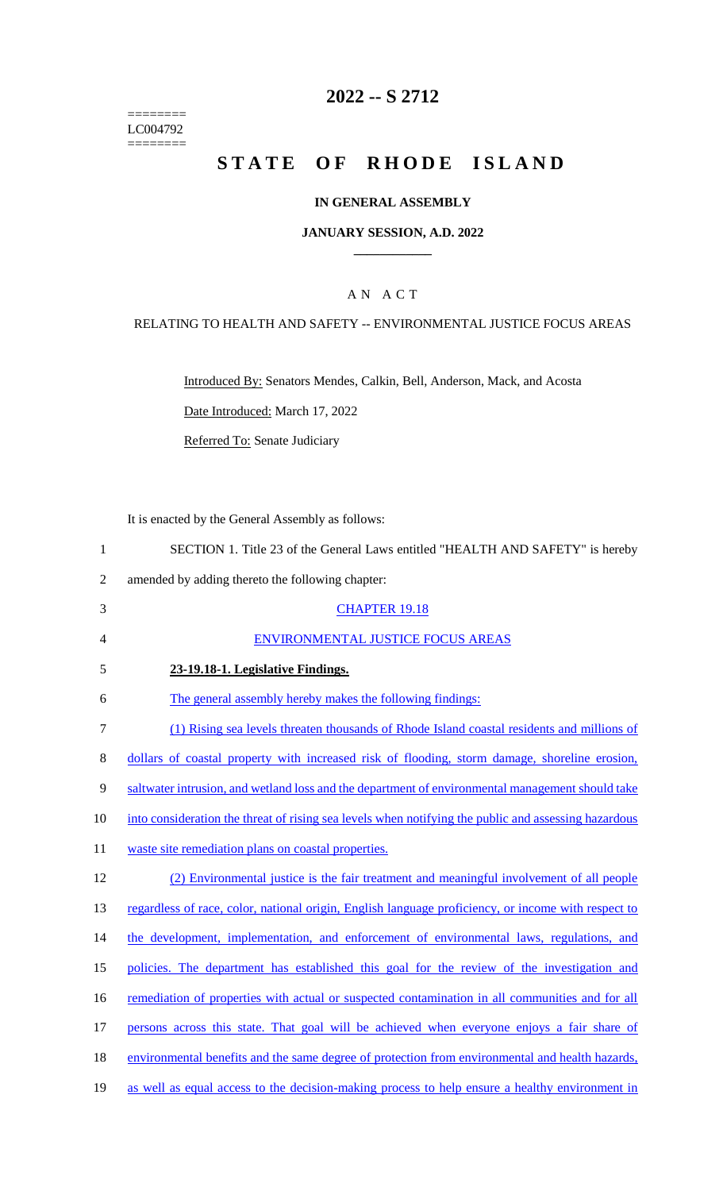======== LC004792  $=$ 

# **2022 -- S 2712**

# **STATE OF RHODE ISLAND**

## **IN GENERAL ASSEMBLY**

#### **JANUARY SESSION, A.D. 2022 \_\_\_\_\_\_\_\_\_\_\_\_**

## A N A C T

## RELATING TO HEALTH AND SAFETY -- ENVIRONMENTAL JUSTICE FOCUS AREAS

Introduced By: Senators Mendes, Calkin, Bell, Anderson, Mack, and Acosta

Date Introduced: March 17, 2022

Referred To: Senate Judiciary

It is enacted by the General Assembly as follows:

| SECTION 1. Title 23 of the General Laws entitled "HEALTH AND SAFETY" is hereby |  |
|--------------------------------------------------------------------------------|--|
|--------------------------------------------------------------------------------|--|

2 amended by adding thereto the following chapter:

| 3              | <b>CHAPTER 19.18</b>                                                                                 |
|----------------|------------------------------------------------------------------------------------------------------|
| $\overline{4}$ | ENVIRONMENTAL JUSTICE FOCUS AREAS                                                                    |
| 5              | 23-19.18-1. Legislative Findings.                                                                    |
| 6              | The general assembly hereby makes the following findings:                                            |
| 7              | (1) Rising sea levels threaten thousands of Rhode Island coastal residents and millions of           |
| 8              | dollars of coastal property with increased risk of flooding, storm damage, shoreline erosion,        |
| 9              | saltwater intrusion, and wetland loss and the department of environmental management should take     |
| 10             | into consideration the threat of rising sea levels when notifying the public and assessing hazardous |
| 11             | waste site remediation plans on coastal properties.                                                  |
| 12             | (2) Environmental justice is the fair treatment and meaningful involvement of all people             |
| 13             | regardless of race, color, national origin, English language proficiency, or income with respect to  |
| 14             | the development, implementation, and enforcement of environmental laws, regulations, and             |
| 15             | policies. The department has established this goal for the review of the investigation and           |
| 16             | remediation of properties with actual or suspected contamination in all communities and for all      |
| 17             | persons across this state. That goal will be achieved when everyone enjoys a fair share of           |
| 18             | environmental benefits and the same degree of protection from environmental and health hazards,      |
| 19             | as well as equal access to the decision-making process to help ensure a healthy environment in       |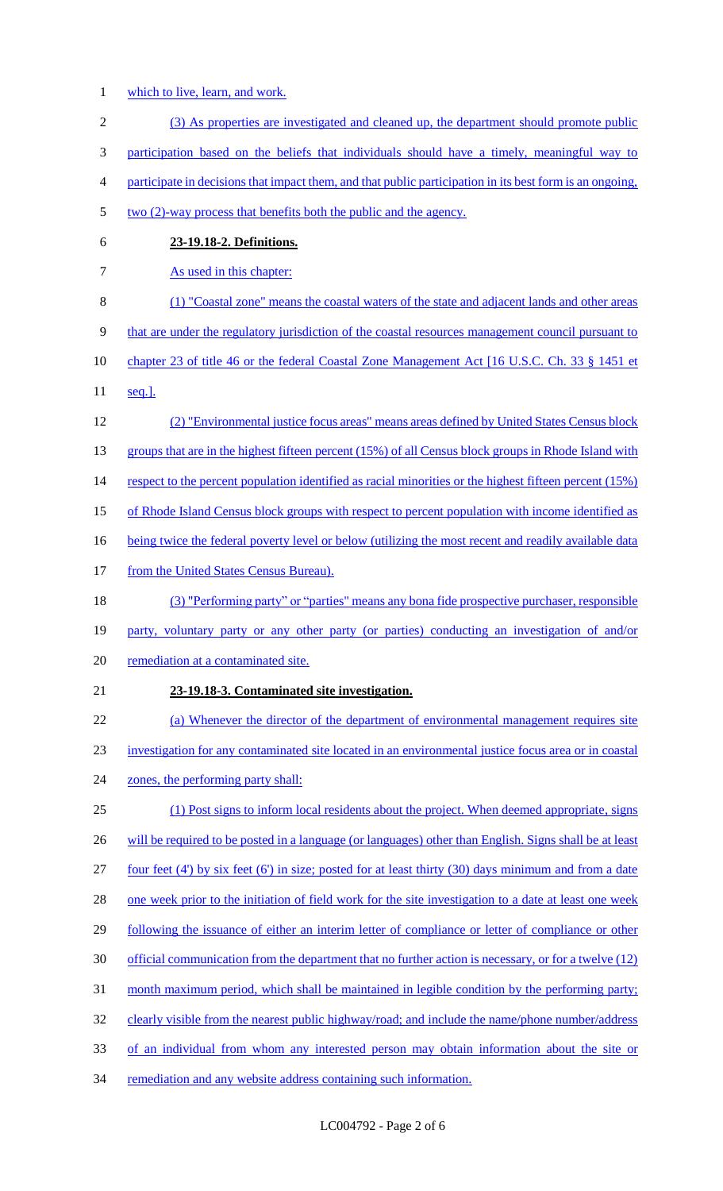- 1 which to live, learn, and work.
- 2 (3) As properties are investigated and cleaned up, the department should promote public 3 participation based on the beliefs that individuals should have a timely, meaningful way to 4 participate in decisions that impact them, and that public participation in its best form is an ongoing, 5 two (2)-way process that benefits both the public and the agency. 6 **23-19.18-2. Definitions.**  7 As used in this chapter: 8 (1) "Coastal zone" means the coastal waters of the state and adjacent lands and other areas 9 that are under the regulatory jurisdiction of the coastal resources management council pursuant to 10 chapter 23 of title 46 or the federal Coastal Zone Management Act [16 U.S.C. Ch. 33 § 1451 et 11 seq.]. 12 (2) "Environmental justice focus areas" means areas defined by United States Census block 13 groups that are in the highest fifteen percent (15%) of all Census block groups in Rhode Island with 14 respect to the percent population identified as racial minorities or the highest fifteen percent (15%) 15 of Rhode Island Census block groups with respect to percent population with income identified as 16 being twice the federal poverty level or below (utilizing the most recent and readily available data 17 from the United States Census Bureau). 18 (3) "Performing party" or "parties" means any bona fide prospective purchaser, responsible 19 party, voluntary party or any other party (or parties) conducting an investigation of and/or 20 remediation at a contaminated site. 21 **23-19.18-3. Contaminated site investigation.**  22 (a) Whenever the director of the department of environmental management requires site 23 investigation for any contaminated site located in an environmental justice focus area or in coastal 24 zones, the performing party shall: 25 (1) Post signs to inform local residents about the project. When deemed appropriate, signs 26 will be required to be posted in a language (or languages) other than English. Signs shall be at least 27 four feet (4') by six feet (6') in size; posted for at least thirty (30) days minimum and from a date 28 one week prior to the initiation of field work for the site investigation to a date at least one week 29 following the issuance of either an interim letter of compliance or letter of compliance or other 30 official communication from the department that no further action is necessary, or for a twelve (12) 31 month maximum period, which shall be maintained in legible condition by the performing party; 32 clearly visible from the nearest public highway/road; and include the name/phone number/address 33 of an individual from whom any interested person may obtain information about the site or 34 remediation and any website address containing such information.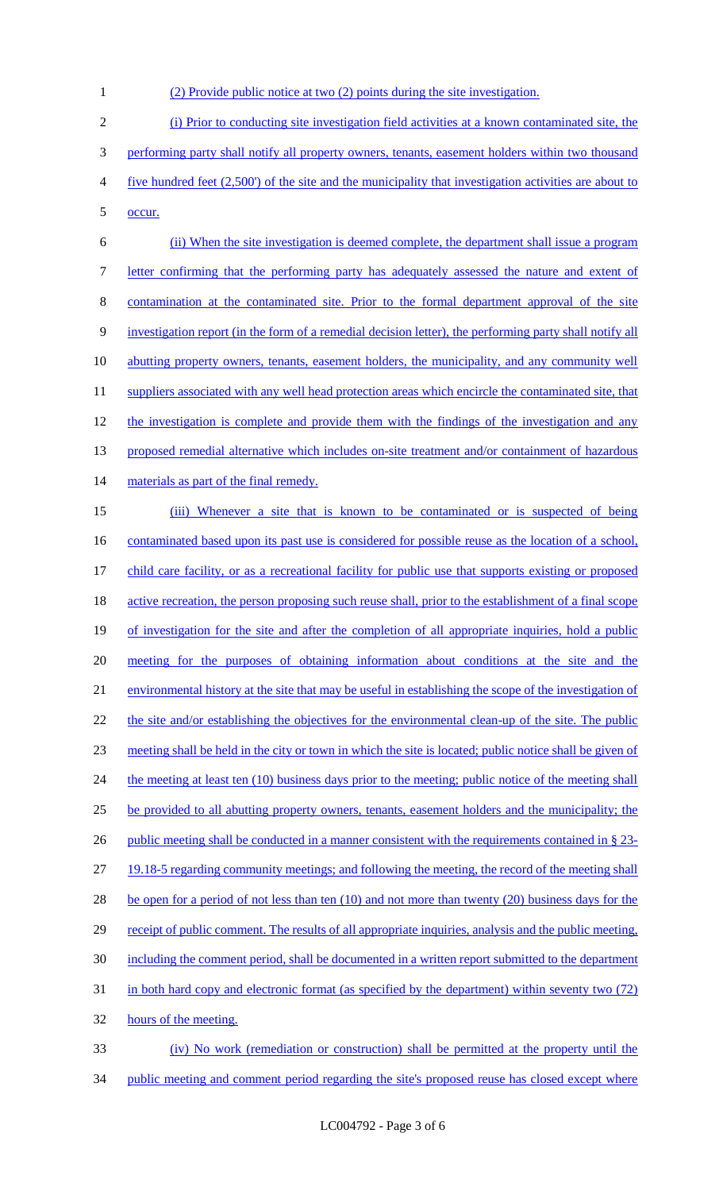1 (2) Provide public notice at two (2) points during the site investigation.

2 (i) Prior to conducting site investigation field activities at a known contaminated site, the 3 performing party shall notify all property owners, tenants, easement holders within two thousand 4 five hundred feet (2,500') of the site and the municipality that investigation activities are about to 5 occur.

6 (ii) When the site investigation is deemed complete, the department shall issue a program 7 letter confirming that the performing party has adequately assessed the nature and extent of 8 contamination at the contaminated site. Prior to the formal department approval of the site 9 investigation report (in the form of a remedial decision letter), the performing party shall notify all 10 abutting property owners, tenants, easement holders, the municipality, and any community well 11 suppliers associated with any well head protection areas which encircle the contaminated site, that 12 the investigation is complete and provide them with the findings of the investigation and any 13 proposed remedial alternative which includes on-site treatment and/or containment of hazardous 14 materials as part of the final remedy. 15 (iii) Whenever a site that is known to be contaminated or is suspected of being 16 contaminated based upon its past use is considered for possible reuse as the location of a school, 17 child care facility, or as a recreational facility for public use that supports existing or proposed 18 active recreation, the person proposing such reuse shall, prior to the establishment of a final scope 19 of investigation for the site and after the completion of all appropriate inquiries, hold a public 20 meeting for the purposes of obtaining information about conditions at the site and the 21 environmental history at the site that may be useful in establishing the scope of the investigation of 22 the site and/or establishing the objectives for the environmental clean-up of the site. The public 23 meeting shall be held in the city or town in which the site is located; public notice shall be given of 24 the meeting at least ten (10) business days prior to the meeting; public notice of the meeting shall 25 be provided to all abutting property owners, tenants, easement holders and the municipality; the 26 public meeting shall be conducted in a manner consistent with the requirements contained in § 23-27 19.18-5 regarding community meetings; and following the meeting, the record of the meeting shall 28 be open for a period of not less than ten (10) and not more than twenty (20) business days for the 29 receipt of public comment. The results of all appropriate inquiries, analysis and the public meeting, 30 including the comment period, shall be documented in a written report submitted to the department 31 in both hard copy and electronic format (as specified by the department) within seventy two (72) 32 hours of the meeting.

33 (iv) No work (remediation or construction) shall be permitted at the property until the 34 public meeting and comment period regarding the site's proposed reuse has closed except where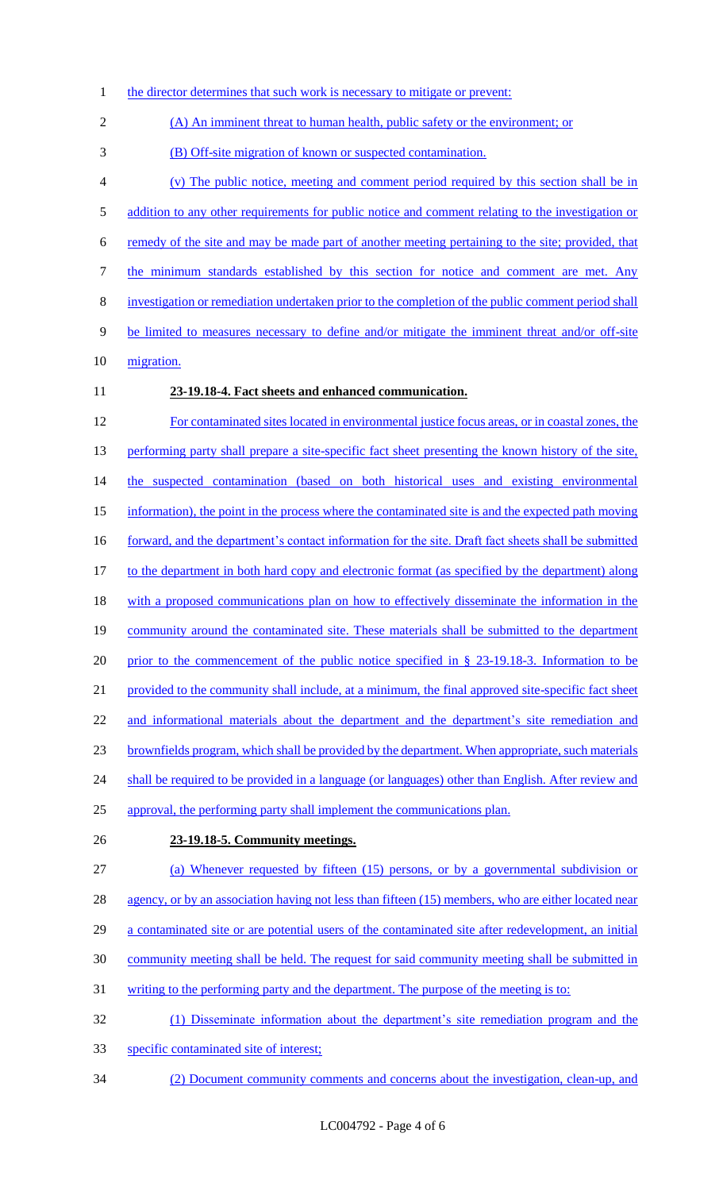- 1 the director determines that such work is necessary to mitigate or prevent:
- (A) An imminent threat to human health, public safety or the environment; or
- (B) Off-site migration of known or suspected contamination.
- (v) The public notice, meeting and comment period required by this section shall be in 5 addition to any other requirements for public notice and comment relating to the investigation or remedy of the site and may be made part of another meeting pertaining to the site; provided, that 7 the minimum standards established by this section for notice and comment are met. Any investigation or remediation undertaken prior to the completion of the public comment period shall be limited to measures necessary to define and/or mitigate the imminent threat and/or off-site 10 migration. **23-19.18-4. Fact sheets and enhanced communication.**
- For contaminated sites located in environmental justice focus areas, or in coastal zones, the 13 performing party shall prepare a site-specific fact sheet presenting the known history of the site, 14 the suspected contamination (based on both historical uses and existing environmental information), the point in the process where the contaminated site is and the expected path moving 16 forward, and the department's contact information for the site. Draft fact sheets shall be submitted to the department in both hard copy and electronic format (as specified by the department) along with a proposed communications plan on how to effectively disseminate the information in the 19 community around the contaminated site. These materials shall be submitted to the department 20 prior to the commencement of the public notice specified in § 23-19.18-3. Information to be provided to the community shall include, at a minimum, the final approved site-specific fact sheet 22 and informational materials about the department and the department's site remediation and brownfields program, which shall be provided by the department. When appropriate, such materials 24 shall be required to be provided in a language (or languages) other than English. After review and approval, the performing party shall implement the communications plan. **23-19.18-5. Community meetings.**  (a) Whenever requested by fifteen (15) persons, or by a governmental subdivision or 28 agency, or by an association having not less than fifteen (15) members, who are either located near a contaminated site or are potential users of the contaminated site after redevelopment, an initial
- community meeting shall be held. The request for said community meeting shall be submitted in
- writing to the performing party and the department. The purpose of the meeting is to:
- (1) Disseminate information about the department's site remediation program and the
- specific contaminated site of interest;
- (2) Document community comments and concerns about the investigation, clean-up, and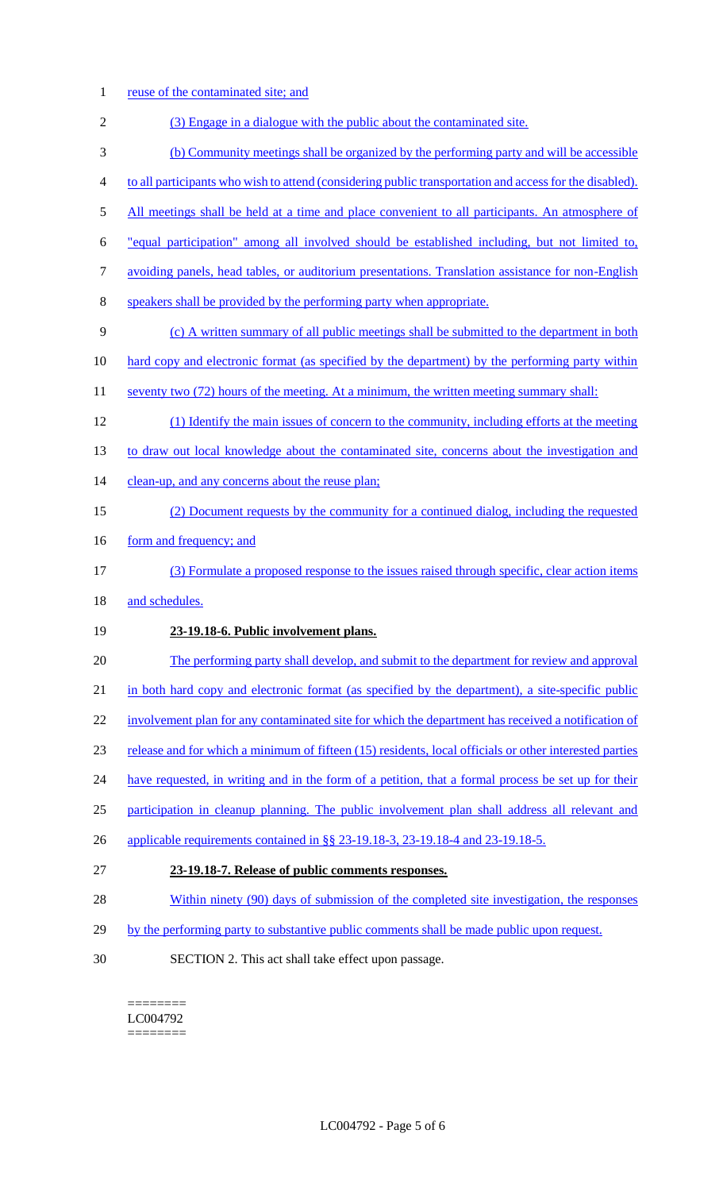- 1 reuse of the contaminated site; and 2 (3) Engage in a dialogue with the public about the contaminated site. 3 (b) Community meetings shall be organized by the performing party and will be accessible 4 to all participants who wish to attend (considering public transportation and access for the disabled). 5 All meetings shall be held at a time and place convenient to all participants. An atmosphere of 6 "equal participation" among all involved should be established including, but not limited to, 7 avoiding panels, head tables, or auditorium presentations. Translation assistance for non-English 8 speakers shall be provided by the performing party when appropriate. 9 (c) A written summary of all public meetings shall be submitted to the department in both 10 hard copy and electronic format (as specified by the department) by the performing party within 11 seventy two (72) hours of the meeting. At a minimum, the written meeting summary shall: 12 (1) Identify the main issues of concern to the community, including efforts at the meeting 13 to draw out local knowledge about the contaminated site, concerns about the investigation and 14 clean-up, and any concerns about the reuse plan; 15 (2) Document requests by the community for a continued dialog, including the requested 16 form and frequency; and 17 (3) Formulate a proposed response to the issues raised through specific, clear action items 18 and schedules. 19 **23-19.18-6. Public involvement plans.**  20 The performing party shall develop, and submit to the department for review and approval 21 in both hard copy and electronic format (as specified by the department), a site-specific public 22 involvement plan for any contaminated site for which the department has received a notification of 23 release and for which a minimum of fifteen (15) residents, local officials or other interested parties 24 have requested, in writing and in the form of a petition, that a formal process be set up for their 25 participation in cleanup planning. The public involvement plan shall address all relevant and 26 applicable requirements contained in §§ 23-19.18-3, 23-19.18-4 and 23-19.18-5. 27 **23-19.18-7. Release of public comments responses.**  28 Within ninety (90) days of submission of the completed site investigation, the responses 29 by the performing party to substantive public comments shall be made public upon request.
- 30 SECTION 2. This act shall take effect upon passage.

======== LC004792 ========